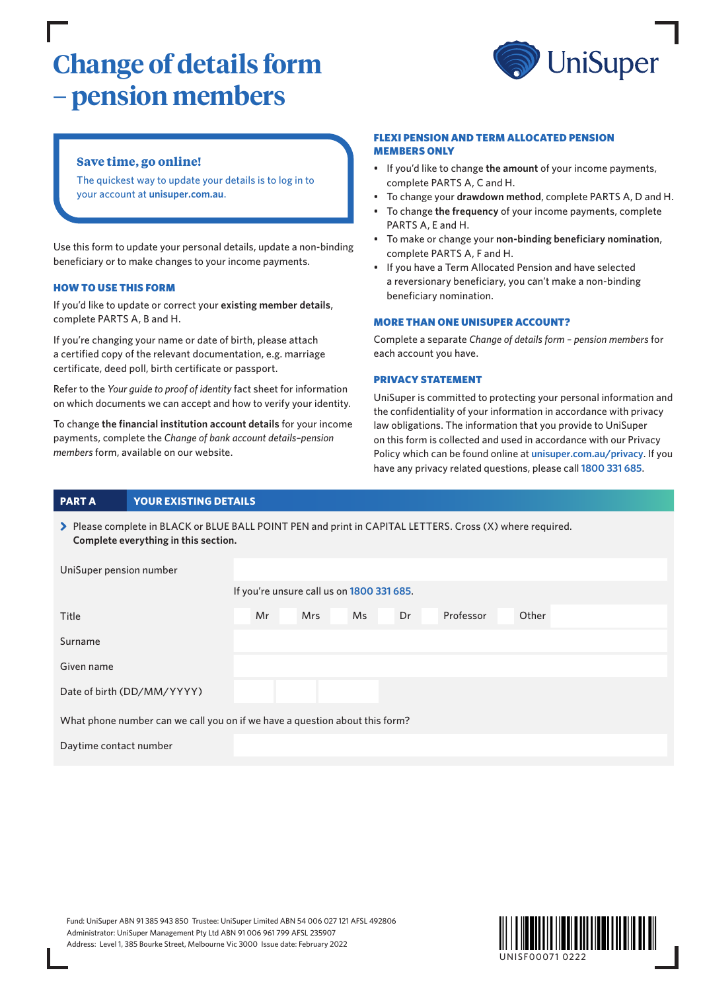# **Change of details form – pension members**



# **Save time, go online!**

The quickest way to update your details is to log in to your account at **[unisuper.com.au](http://www.unisuper.com.au)** .

Use this form to update your personal details, update a non-binding beneficiary or to make changes to your income payments.

#### HOW TO USE THIS FORM

If you'd like to update or correct your **existing member details**, complete PARTS A, B and H.

If you're changing your name or date of birth, please attach a certified copy of the relevant documentation, e.g. marriage certificate, deed poll, birth certificate or passport.

Refer to the *Your guide to proof of identity* fact sheet for information on which documents we can accept and how to verify your identity.

To change **the financial institution account details** for your income payments, complete the *Change of bank account details–pension members* form, available on our website.

#### FLEXI PENSION AND TERM ALLOCATED PENSION MEMBERS ONLY

- If you'd like to change **the amount** of your income payments, complete PARTS A, C and H.
- To change your **drawdown method**, complete PARTS A, D and H.
- To change **the frequency** of your income payments, complete PARTS A, E and H.
- To make or change your **non-binding beneficiary nomination**, complete PARTS A, F and H.
- If you have a Term Allocated Pension and have selected a reversionary beneficiary, you can't make a non-binding beneficiary nomination.

#### MORE THAN ONE UNISUPER ACCOUNT?

| Complete a separate Change of details form - pension members for |
|------------------------------------------------------------------|
| each account you have.                                           |

#### PRIVACY STATEMENT

UniSuper is committed to protecting your personal information and the confidentiality of your information in accordance with privacy law obligations. The information that you provide to UniSuper on this form is collected and used in accordance with our Privacy Policy which can be found online at **[unisuper.com.au/privacy](http://unisuper.com.au/privacy)** . If you have any privacy related questions, please call **1800 331 685**.

## **PART A YOUR EXISTING DETAILS**

> Please complete in BLACK or BLUE BALL POINT PEN and print in CAPITAL LETTERS. Cross (X) where required. **Complete everything in this section.**

| UniSuper pension number    |                                                                             |
|----------------------------|-----------------------------------------------------------------------------|
|                            | If you're unsure call us on 1800 331 685.                                   |
| Title                      | Mr<br><b>Mrs</b><br><b>Ms</b><br>Dr<br>Professor<br>Other                   |
| Surname                    |                                                                             |
| Given name                 |                                                                             |
| Date of birth (DD/MM/YYYY) |                                                                             |
|                            | What phone number can we call you on if we have a question about this form? |
| Daytime contact number     |                                                                             |

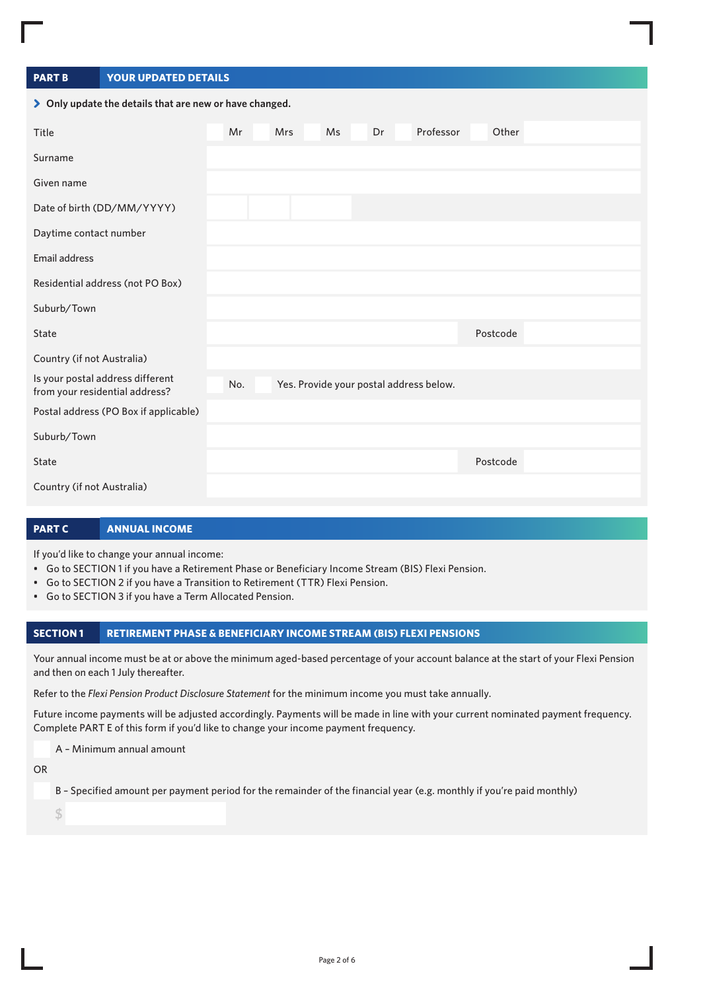| <b>PART B</b> | <b>YOUR UPDATED DETAILS</b> |
|---------------|-----------------------------|
|               |                             |

| > Only update the details that are new or have changed.            |     |            |    |    |                                         |          |  |
|--------------------------------------------------------------------|-----|------------|----|----|-----------------------------------------|----------|--|
| Title                                                              | Mr  | <b>Mrs</b> | Ms | Dr | Professor                               | Other    |  |
| Surname                                                            |     |            |    |    |                                         |          |  |
| Given name                                                         |     |            |    |    |                                         |          |  |
| Date of birth (DD/MM/YYYY)                                         |     |            |    |    |                                         |          |  |
| Daytime contact number                                             |     |            |    |    |                                         |          |  |
| Email address                                                      |     |            |    |    |                                         |          |  |
| Residential address (not PO Box)                                   |     |            |    |    |                                         |          |  |
| Suburb/Town                                                        |     |            |    |    |                                         |          |  |
| State                                                              |     |            |    |    |                                         | Postcode |  |
| Country (if not Australia)                                         |     |            |    |    |                                         |          |  |
| Is your postal address different<br>from your residential address? | No. |            |    |    | Yes. Provide your postal address below. |          |  |
| Postal address (PO Box if applicable)                              |     |            |    |    |                                         |          |  |
| Suburb/Town                                                        |     |            |    |    |                                         |          |  |
| State                                                              |     |            |    |    |                                         | Postcode |  |
| Country (if not Australia)                                         |     |            |    |    |                                         |          |  |

## **PART C ANNUAL INCOME**

If you'd like to change your annual income:

- Go to SECTION 1 if you have a Retirement Phase or Beneficiary Income Stream (BIS) Flexi Pension.
- Go to SECTION 2 if you have a Transition to Retirement (TTR) Flexi Pension.
- Go to SECTION 3 if you have a Term Allocated Pension.

## **SECTION 1 RETIREMENT PHASE & BENEFICIARY INCOME STREAM (BIS) FLEXI PENSIONS**

Your annual income must be at or above the minimum aged-based percentage of your account balance at the start of your Flexi Pension and then on each 1 July thereafter.

Refer to the *Flexi Pension Product Disclosure Statement* for the minimum income you must take annually.

Future income payments will be adjusted accordingly. Payments will be made in line with your current nominated payment frequency. Complete PART E of this form if you'd like to change your income payment frequency.

A – Minimum annual amount

OR

B – Specified amount per payment period for the remainder of the financial year (e.g. monthly if you're paid monthly)

**\$**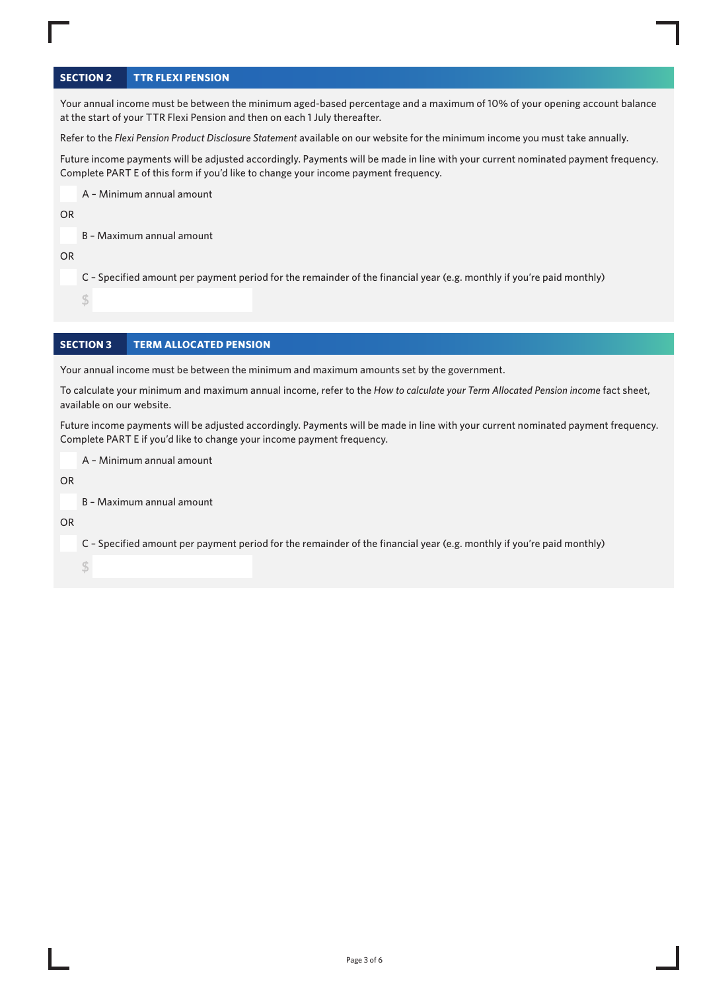# **SECTION 2 TTR FLEXI PENSION**

Your annual income must be between the minimum aged-based percentage and a maximum of 10% of your opening account balance at the start of your TTR Flexi Pension and then on each 1 July thereafter.

Refer to the *Flexi Pension Product Disclosure Statement* available on our website for the minimum income you must take annually.

Future income payments will be adjusted accordingly. Payments will be made in line with your current nominated payment frequency. Complete PART E of this form if you'd like to change your income payment frequency.

A – Minimum annual amount

OR

B – Maximum annual amount

OR

C – Specified amount per payment period for the remainder of the financial year (e.g. monthly if you're paid monthly)

**\$** 

# **SECTION 3 TERM ALLOCATED PENSION**

Your annual income must be between the minimum and maximum amounts set by the government.

To calculate your minimum and maximum annual income, refer to the *How to calculate your Term Allocated Pension income* fact sheet, available on our website.

Future income payments will be adjusted accordingly. Payments will be made in line with your current nominated payment frequency. Complete PART E if you'd like to change your income payment frequency.

A – Minimum annual amount

OR

B – Maximum annual amount

OR

C – Specified amount per payment period for the remainder of the financial year (e.g. monthly if you're paid monthly)

**\$**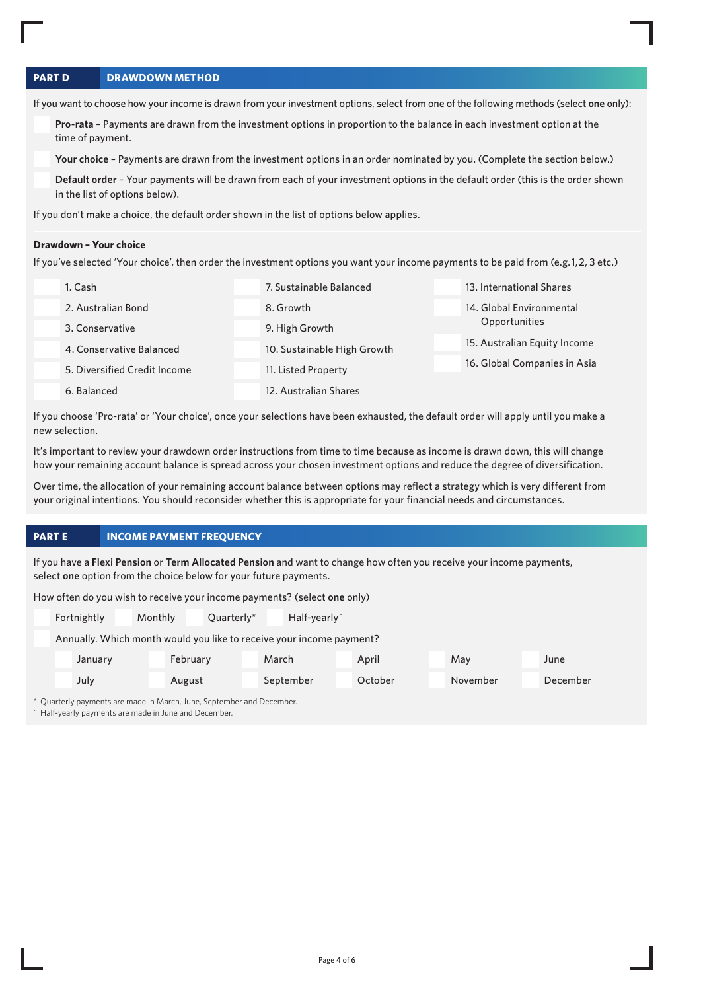# **PART D DRAWDOWN METHOD**

If you want to choose how your income is drawn from your investment options, select from one of the following methods (select **one** only):

**Pro-rata** – Payments are drawn from the investment options in proportion to the balance in each investment option at the time of payment.

**Your choice** – Payments are drawn from the investment options in an order nominated by you. (Complete the section below.)

**Default order** – Your payments will be drawn from each of your investment options in the default order (this is the order shown in the list of options below).

If you don't make a choice, the default order shown in the list of options below applies.

#### **Drawdown – Your choice**

If you've selected 'Your choice', then order the investment options you want your income payments to be paid from (e.g. 1, 2, 3 etc.)

| 1. Cash                      | 7. Sustainable Balanced     | 13. International Shares     |
|------------------------------|-----------------------------|------------------------------|
| 2. Australian Bond           | 8. Growth                   | 14. Global Environmental     |
| 3. Conservative              | 9. High Growth              | Opportunities                |
| 4. Conservative Balanced     | 10. Sustainable High Growth | 15. Australian Equity Income |
| 5. Diversified Credit Income | 11. Listed Property         | 16. Global Companies in Asia |
| 6. Balanced                  | 12. Australian Shares       |                              |

If you choose 'Pro-rata' or 'Your choice', once your selections have been exhausted, the default order will apply until you make a new selection.

It's important to review your drawdown order instructions from time to time because as income is drawn down, this will change how your remaining account balance is spread across your chosen investment options and reduce the degree of diversification.

Over time, the allocation of your remaining account balance between options may reflect a strategy which is very different from your original intentions. You should reconsider whether this is appropriate for your financial needs and circumstances.

## **PART E INCOME PAYMENT FREQUENCY**

If you have a **Flexi Pension** or **Term Allocated Pension** and want to change how often you receive your income payments, select **one** option from the choice below for your future payments.

How often do you wish to receive your income payments? (select **one** only)

| Fortnightly | Monthly  | Quarterly* | Half-yearly <sup>^</sup>                                             |         |          |          |
|-------------|----------|------------|----------------------------------------------------------------------|---------|----------|----------|
|             |          |            | Annually. Which month would you like to receive your income payment? |         |          |          |
| January     | February |            | March                                                                | April   | May      | June     |
| July        | August   |            | September                                                            | October | November | December |

\* Quarterly payments are made in March, June, September and December.

^ Half-yearly payments are made in June and December.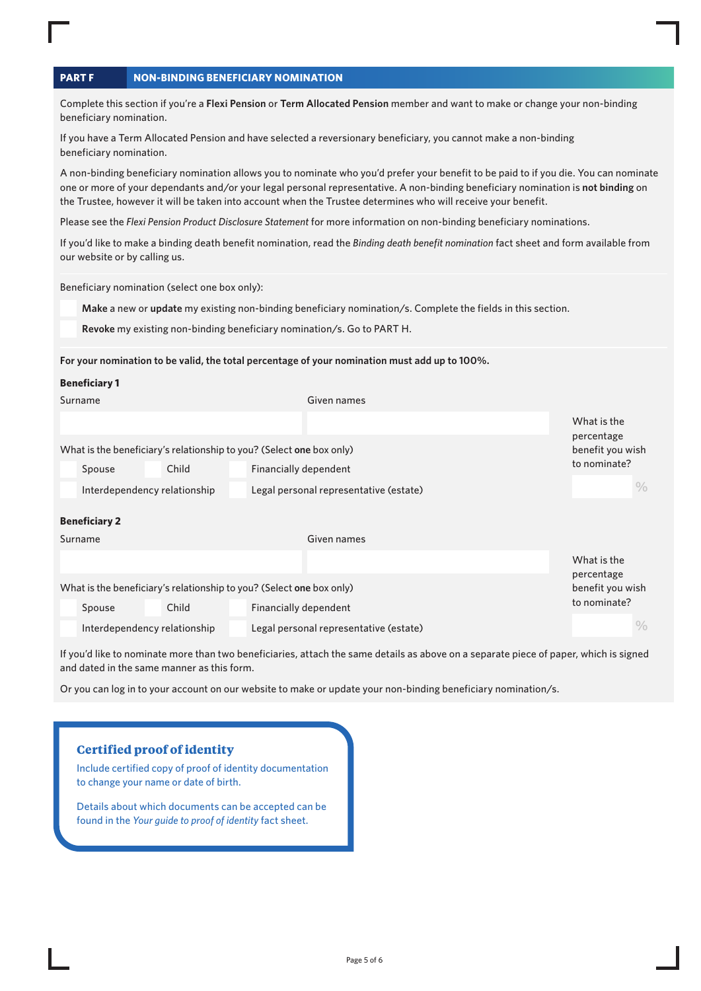| <b>PART F</b> | <b>NON-BINDING BENEFICIARY NOMINATION</b> |  |
|---------------|-------------------------------------------|--|
|               |                                           |  |

Complete this section if you're a **Flexi Pension** or **Term Allocated Pension** member and want to make or change your non-binding beneficiary nomination.

If you have a Term Allocated Pension and have selected a reversionary beneficiary, you cannot make a non-binding beneficiary nomination.

A non-binding beneficiary nomination allows you to nominate who you'd prefer your benefit to be paid to if you die. You can nominate one or more of your dependants and/or your legal personal representative. A non-binding beneficiary nomination is **not binding** on the Trustee, however it will be taken into account when the Trustee determines who will receive your benefit.

Please see the *Flexi Pension Product Disclosure Statement* for more information on non-binding beneficiary nominations.

If you'd like to make a binding death benefit nomination, read the *Binding death benefit nomination* fact sheet and form available from our website or by calling us.

Beneficiary nomination (select one box only):

**Make** a new or **update** my existing non-binding beneficiary nomination/s. Complete the fields in this section.

**Revoke** my existing non-binding beneficiary nomination/s. Go to PART H.

#### **For your nomination to be valid, the total percentage of your nomination must add up to 100%.**

| <b>Beneficiary 1</b>                                                 |                                        |                           |
|----------------------------------------------------------------------|----------------------------------------|---------------------------|
| Surname                                                              | Given names                            |                           |
|                                                                      |                                        | What is the<br>percentage |
| What is the beneficiary's relationship to you? (Select one box only) |                                        | benefit you wish          |
| Child<br>Spouse                                                      | Financially dependent                  | to nominate?              |
| Interdependency relationship                                         | Legal personal representative (estate) | $\%$                      |
| <b>Beneficiary 2</b>                                                 |                                        |                           |
| Surname                                                              | Given names                            |                           |
|                                                                      |                                        | What is the<br>percentage |
| What is the beneficiary's relationship to you? (Select one box only) |                                        | benefit you wish          |
| Child<br>Spouse                                                      | Financially dependent                  | to nominate?              |
| Interdependency relationship                                         | Legal personal representative (estate) | $\frac{0}{0}$             |

If you'd like to nominate more than two beneficiaries, attach the same details as above on a separate piece of paper, which is signed and dated in the same manner as this form.

Or you can log in to your account on our website to make or update your non-binding beneficiary nomination/s.

# **Certified proof of identity**

Include certified copy of proof of identity documentation to change your name or date of birth.

Details about which documents can be accepted can be found in the *Your guide to proof of identity* fact sheet.